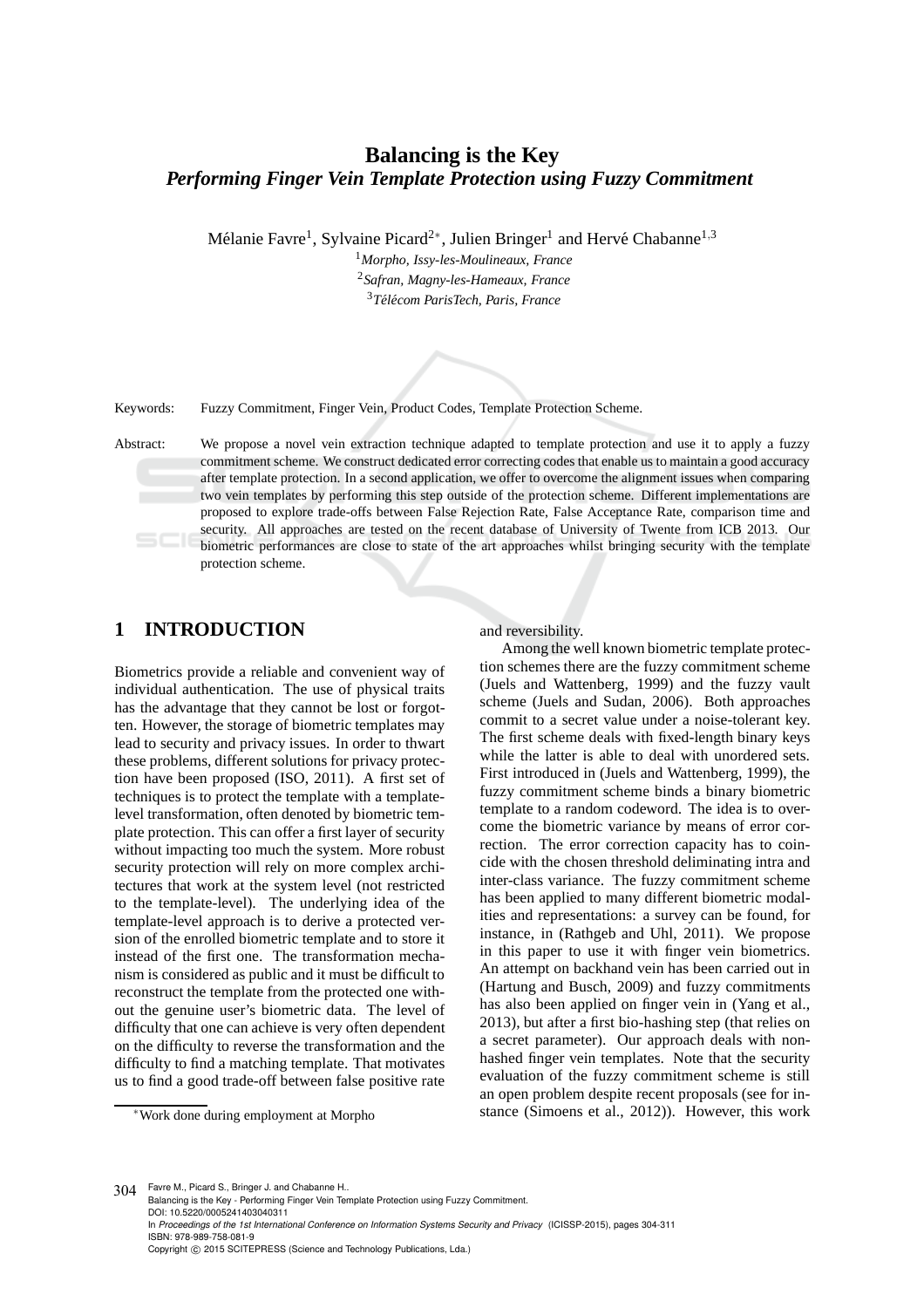# **Balancing is the Key** *Performing Finger Vein Template Protection using Fuzzy Commitment*

Mélanie Favre<sup>1</sup>, Sylvaine Picard<sup>2∗</sup>, Julien Bringer<sup>1</sup> and Hervé Chabanne<sup>1,3</sup>

<sup>1</sup>*Morpho, Issy-les-Moulineaux, France* <sup>2</sup>*Safran, Magny-les-Hameaux, France* <sup>3</sup>*T´el´ecom ParisTech, Paris, France*



Keywords: Fuzzy Commitment, Finger Vein, Product Codes, Template Protection Scheme.

Abstract: We propose a novel vein extraction technique adapted to template protection and use it to apply a fuzzy commitment scheme. We construct dedicated error correcting codes that enable us to maintain a good accuracy after template protection. In a second application, we offer to overcome the alignment issues when comparing two vein templates by performing this step outside of the protection scheme. Different implementations are proposed to explore trade-offs between False Rejection Rate, False Acceptance Rate, comparison time and security. All approaches are tested on the recent database of University of Twente from ICB 2013. Our biometric performances are close to state of the art approaches whilst bringing security with the template protection scheme.

## **1 INTRODUCTION**

Biometrics provide a reliable and convenient way of individual authentication. The use of physical traits has the advantage that they cannot be lost or forgotten. However, the storage of biometric templates may lead to security and privacy issues. In order to thwart these problems, different solutions for privacy protection have been proposed (ISO, 2011). A first set of techniques is to protect the template with a templatelevel transformation, often denoted by biometric template protection. This can offer a first layer of security without impacting too much the system. More robust security protection will rely on more complex architectures that work at the system level (not restricted to the template-level). The underlying idea of the template-level approach is to derive a protected version of the enrolled biometric template and to store it instead of the first one. The transformation mechanism is considered as public and it must be difficult to reconstruct the template from the protected one without the genuine user's biometric data. The level of difficulty that one can achieve is very often dependent on the difficulty to reverse the transformation and the difficulty to find a matching template. That motivates us to find a good trade-off between false positive rate and reversibility.

Among the well known biometric template protection schemes there are the fuzzy commitment scheme (Juels and Wattenberg, 1999) and the fuzzy vault scheme (Juels and Sudan, 2006). Both approaches commit to a secret value under a noise-tolerant key. The first scheme deals with fixed-length binary keys while the latter is able to deal with unordered sets. First introduced in (Juels and Wattenberg, 1999), the fuzzy commitment scheme binds a binary biometric template to a random codeword. The idea is to overcome the biometric variance by means of error correction. The error correction capacity has to coincide with the chosen threshold deliminating intra and inter-class variance. The fuzzy commitment scheme has been applied to many different biometric modalities and representations: a survey can be found, for instance, in (Rathgeb and Uhl, 2011). We propose in this paper to use it with finger vein biometrics. An attempt on backhand vein has been carried out in (Hartung and Busch, 2009) and fuzzy commitments has also been applied on finger vein in (Yang et al., 2013), but after a first bio-hashing step (that relies on a secret parameter). Our approach deals with nonhashed finger vein templates. Note that the security evaluation of the fuzzy commitment scheme is still an open problem despite recent proposals (see for instance (Simoens et al., 2012)). However, this work

304 Favre M., Picard S., Bringer J. and Chabanne H.. Balancing is the Key - Performing Finger Vein Template Protection using Fuzzy Commitment. DOI: 10.5220/0005241403040311 In *Proceedings of the 1st International Conference on Information Systems Security and Privacy* (ICISSP-2015), pages 304-311 ISBN: 978-989-758-081-9 Copyright (C) 2015 SCITEPRESS (Science and Technology Publications, Lda.)

<sup>∗</sup>Work done during employment at Morpho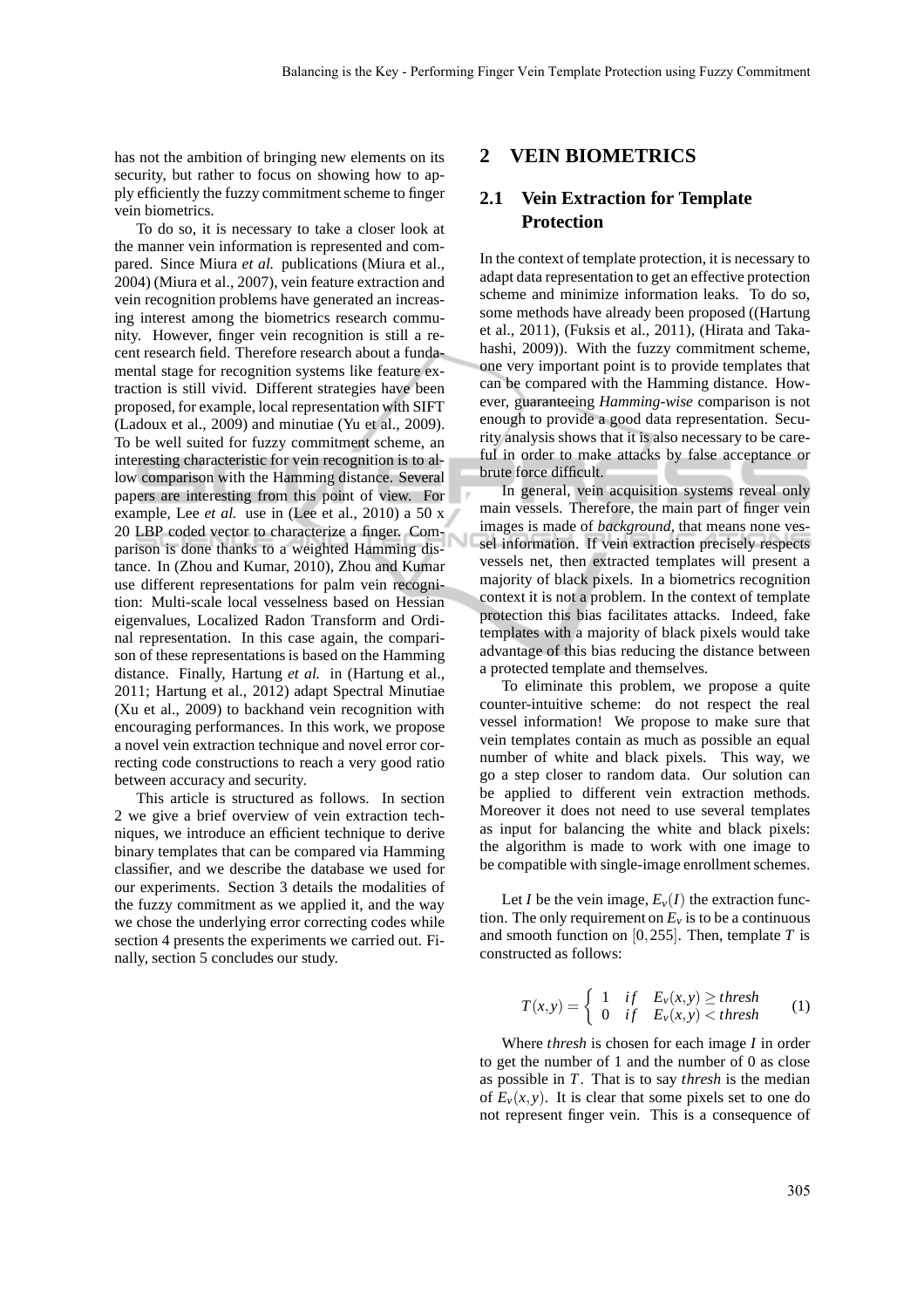has not the ambition of bringing new elements on its security, but rather to focus on showing how to apply efficiently the fuzzy commitment scheme to finger vein biometrics.

To do so, it is necessary to take a closer look at the manner vein information is represented and compared. Since Miura *et al.* publications (Miura et al., 2004) (Miura et al., 2007), vein feature extraction and vein recognition problems have generated an increasing interest among the biometrics research community. However, finger vein recognition is still a recent research field. Therefore research about a fundamental stage for recognition systems like feature extraction is still vivid. Different strategies have been proposed, for example, local representation with SIFT (Ladoux et al., 2009) and minutiae (Yu et al., 2009). To be well suited for fuzzy commitment scheme, an interesting characteristic for vein recognition is to allow comparison with the Hamming distance. Several papers are interesting from this point of view. For example, Lee *et al.* use in (Lee et al., 2010) a 50 x 20 LBP coded vector to characterize a finger. Comparison is done thanks to a weighted Hamming distance. In (Zhou and Kumar, 2010), Zhou and Kumar use different representations for palm vein recognition: Multi-scale local vesselness based on Hessian eigenvalues, Localized Radon Transform and Ordinal representation. In this case again, the comparison of these representations is based on the Hamming distance. Finally, Hartung *et al.* in (Hartung et al., 2011; Hartung et al., 2012) adapt Spectral Minutiae (Xu et al., 2009) to backhand vein recognition with encouraging performances. In this work, we propose a novel vein extraction technique and novel error correcting code constructions to reach a very good ratio between accuracy and security.

This article is structured as follows. In section 2 we give a brief overview of vein extraction techniques, we introduce an efficient technique to derive binary templates that can be compared via Hamming classifier, and we describe the database we used for our experiments. Section 3 details the modalities of the fuzzy commitment as we applied it, and the way we chose the underlying error correcting codes while section 4 presents the experiments we carried out. Finally, section 5 concludes our study.

#### **2 VEIN BIOMETRICS**

### **2.1 Vein Extraction for Template Protection**

In the context of template protection, it is necessary to adapt data representation to get an effective protection scheme and minimize information leaks. To do so, some methods have already been proposed ((Hartung et al., 2011), (Fuksis et al., 2011), (Hirata and Takahashi, 2009)). With the fuzzy commitment scheme, one very important point is to provide templates that can be compared with the Hamming distance. However, guaranteeing *Hamming-wise* comparison is not enough to provide a good data representation. Security analysis shows that it is also necessary to be careful in order to make attacks by false acceptance or brute force difficult.

In general, vein acquisition systems reveal only main vessels. Therefore, the main part of finger vein images is made of *background*, that means none vessel information. If vein extraction precisely respects vessels net, then extracted templates will present a majority of black pixels. In a biometrics recognition context it is not a problem. In the context of template protection this bias facilitates attacks. Indeed, fake templates with a majority of black pixels would take advantage of this bias reducing the distance between a protected template and themselves.

To eliminate this problem, we propose a quite counter-intuitive scheme: do not respect the real vessel information! We propose to make sure that vein templates contain as much as possible an equal number of white and black pixels. This way, we go a step closer to random data. Our solution can be applied to different vein extraction methods. Moreover it does not need to use several templates as input for balancing the white and black pixels: the algorithm is made to work with one image to be compatible with single-image enrollment schemes.

Let *I* be the vein image,  $E_v(I)$  the extraction function. The only requirement on  $E<sub>v</sub>$  is to be a continuous and smooth function on [0,255]. Then, template *T* is constructed as follows:

$$
T(x,y) = \begin{cases} 1 & \text{if } E_v(x,y) \geq \text{thresh} \\ 0 & \text{if } E_v(x,y) < \text{thresh} \end{cases} \tag{1}
$$

Where *thresh* is chosen for each image *I* in order to get the number of 1 and the number of 0 as close as possible in *T*. That is to say *thresh* is the median of  $E_v(x, y)$ . It is clear that some pixels set to one do not represent finger vein. This is a consequence of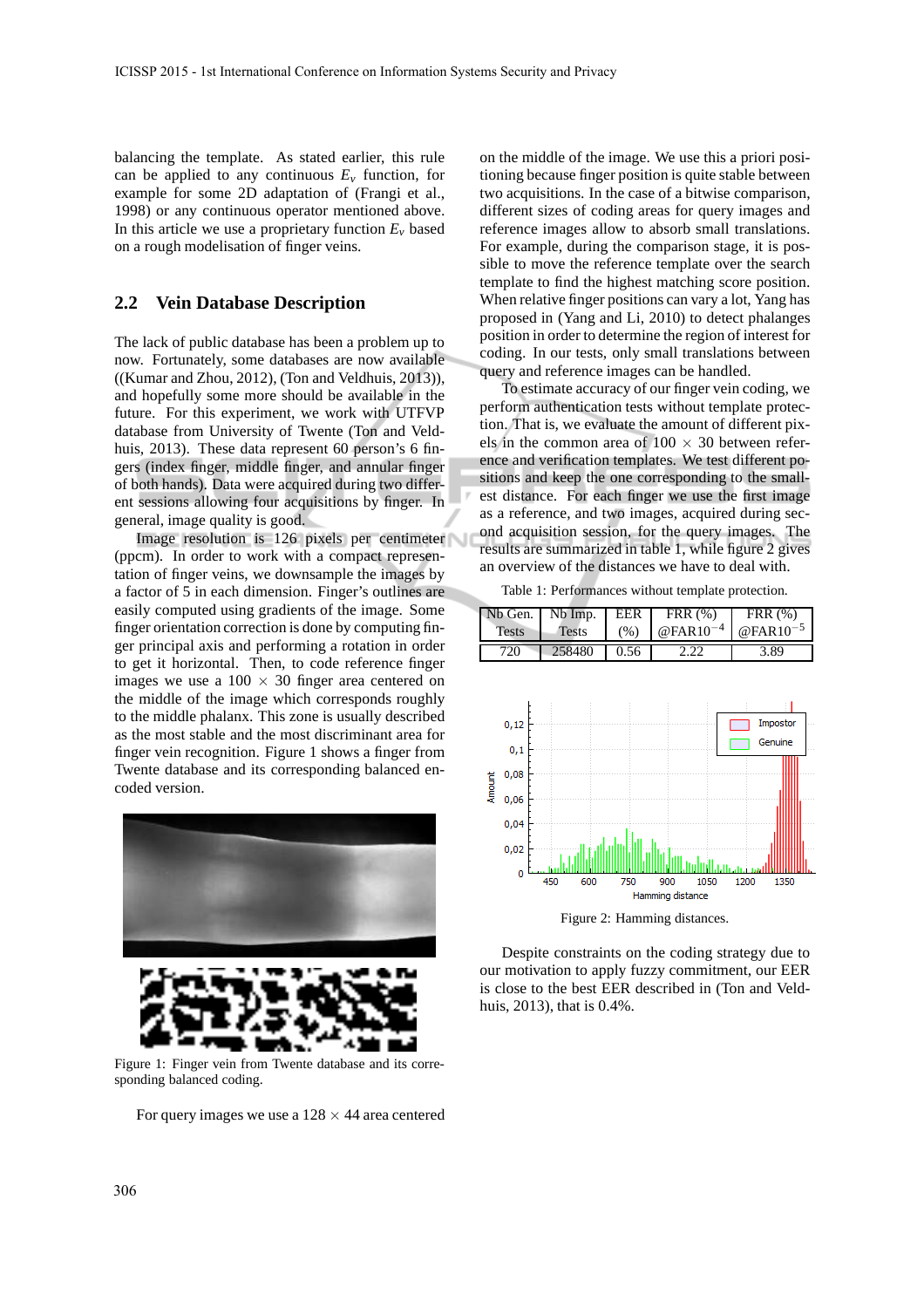balancing the template. As stated earlier, this rule can be applied to any continuous  $E_v$  function, for example for some 2D adaptation of (Frangi et al., 1998) or any continuous operator mentioned above. In this article we use a proprietary function  $E<sub>v</sub>$  based on a rough modelisation of finger veins.

### **2.2 Vein Database Description**

The lack of public database has been a problem up to now. Fortunately, some databases are now available ((Kumar and Zhou, 2012), (Ton and Veldhuis, 2013)), and hopefully some more should be available in the future. For this experiment, we work with UTFVP database from University of Twente (Ton and Veldhuis, 2013). These data represent 60 person's 6 fingers (index finger, middle finger, and annular finger of both hands). Data were acquired during two different sessions allowing four acquisitions by finger. In general, image quality is good.

Image resolution is 126 pixels per centimeter (ppcm). In order to work with a compact representation of finger veins, we downsample the images by a factor of 5 in each dimension. Finger's outlines are easily computed using gradients of the image. Some finger orientation correction is done by computing finger principal axis and performing a rotation in order to get it horizontal. Then, to code reference finger images we use a  $100 \times 30$  finger area centered on the middle of the image which corresponds roughly to the middle phalanx. This zone is usually described as the most stable and the most discriminant area for finger vein recognition. Figure 1 shows a finger from Twente database and its corresponding balanced encoded version.





Figure 1: Finger vein from Twente database and its corresponding balanced coding.

For query images we use a  $128 \times 44$  area centered

on the middle of the image. We use this a priori positioning because finger position is quite stable between two acquisitions. In the case of a bitwise comparison, different sizes of coding areas for query images and reference images allow to absorb small translations. For example, during the comparison stage, it is possible to move the reference template over the search template to find the highest matching score position. When relative finger positions can vary a lot, Yang has proposed in (Yang and Li, 2010) to detect phalanges position in order to determine the region of interest for coding. In our tests, only small translations between query and reference images can be handled.

To estimate accuracy of our finger vein coding, we perform authentication tests without template protection. That is, we evaluate the amount of different pixels in the common area of  $100 \times 30$  between reference and verification templates. We test different positions and keep the one corresponding to the smallest distance. For each finger we use the first image as a reference, and two images, acquired during second acquisition session, for the query images. The results are summarized in table 1, while figure 2 gives an overview of the distances we have to deal with.

Table 1: Performances without template protection.



Figure 2: Hamming distances.

Despite constraints on the coding strategy due to our motivation to apply fuzzy commitment, our EER is close to the best EER described in (Ton and Veldhuis, 2013), that is 0.4%.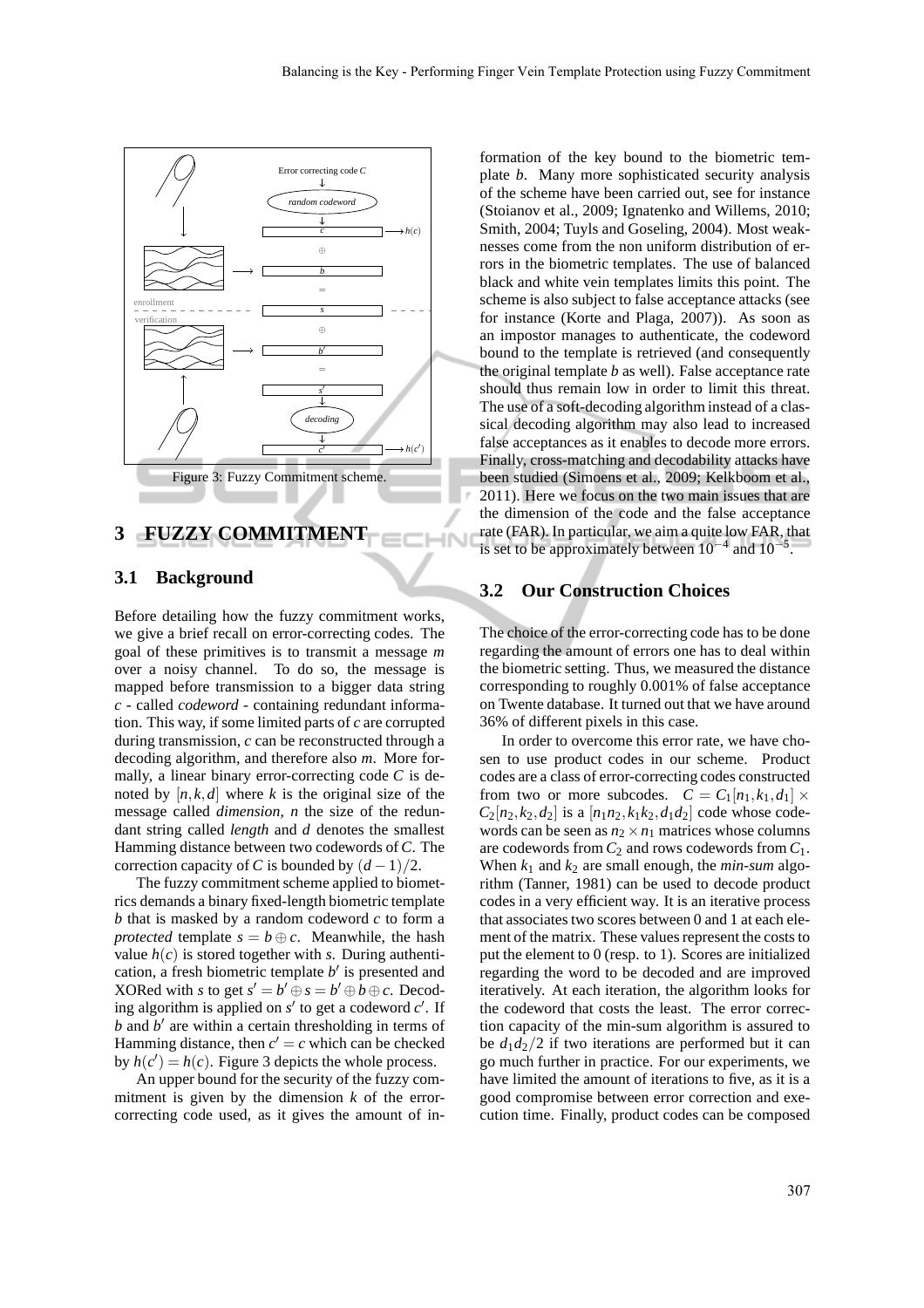

## **3 FUZZY COMMITMENT**

### **3.1 Background**

Before detailing how the fuzzy commitment works, we give a brief recall on error-correcting codes. The goal of these primitives is to transmit a message *m* over a noisy channel. To do so, the message is mapped before transmission to a bigger data string *c* - called *codeword* - containing redundant information. This way, if some limited parts of *c* are corrupted during transmission, *c* can be reconstructed through a decoding algorithm, and therefore also *m*. More formally, a linear binary error-correcting code *C* is denoted by  $[n, k, d]$  where *k* is the original size of the message called *dimension*, *n* the size of the redundant string called *length* and *d* denotes the smallest Hamming distance between two codewords of *C*. The correction capacity of *C* is bounded by  $(d-1)/2$ .

The fuzzy commitment scheme applied to biometrics demands a binary fixed-length biometric template *b* that is masked by a random codeword *c* to form a *protected* template  $s = b \oplus c$ . Meanwhile, the hash value  $h(c)$  is stored together with *s*. During authentication, a fresh biometric template *b* ′ is presented and XORed with *s* to get  $s' = b' \oplus s = b' \oplus b \oplus c$ . Decoding algorithm is applied on *s'* to get a codeword *c'*. If *b* and *b* ′ are within a certain thresholding in terms of Hamming distance, then  $c' = c$  which can be checked by  $h(c') = h(c)$ . Figure 3 depicts the whole process.

An upper bound for the security of the fuzzy commitment is given by the dimension *k* of the errorcorrecting code used, as it gives the amount of information of the key bound to the biometric template *b*. Many more sophisticated security analysis of the scheme have been carried out, see for instance (Stoianov et al., 2009; Ignatenko and Willems, 2010; Smith, 2004; Tuyls and Goseling, 2004). Most weaknesses come from the non uniform distribution of errors in the biometric templates. The use of balanced black and white vein templates limits this point. The scheme is also subject to false acceptance attacks (see for instance (Korte and Plaga, 2007)). As soon as an impostor manages to authenticate, the codeword bound to the template is retrieved (and consequently the original template *b* as well). False acceptance rate should thus remain low in order to limit this threat. The use of a soft-decoding algorithm instead of a classical decoding algorithm may also lead to increased false acceptances as it enables to decode more errors. Finally, cross-matching and decodability attacks have been studied (Simoens et al., 2009; Kelkboom et al., 2011). Here we focus on the two main issues that are the dimension of the code and the false acceptance rate (FAR). In particular, we aim a quite low FAR, that is set to be approximately between  $10^{-4}$  and  $10^{-5}$ .

#### **3.2 Our Construction Choices**

**HN** 

The choice of the error-correcting code has to be done regarding the amount of errors one has to deal within the biometric setting. Thus, we measured the distance corresponding to roughly 0.001% of false acceptance on Twente database. It turned out that we have around 36% of different pixels in this case.

In order to overcome this error rate, we have chosen to use product codes in our scheme. Product codes are a class of error-correcting codes constructed from two or more subcodes.  $C = C_1[n_1, k_1, d_1] \times$  $C_2[n_2, k_2, d_2]$  is a [ $n_1 n_2, k_1 k_2, d_1 d_2$ ] code whose codewords can be seen as  $n_2 \times n_1$  matrices whose columns are codewords from  $C_2$  and rows codewords from  $C_1$ . When  $k_1$  and  $k_2$  are small enough, the *min-sum* algorithm (Tanner, 1981) can be used to decode product codes in a very efficient way. It is an iterative process that associates two scores between 0 and 1 at each element of the matrix. These values represent the costs to put the element to 0 (resp. to 1). Scores are initialized regarding the word to be decoded and are improved iteratively. At each iteration, the algorithm looks for the codeword that costs the least. The error correction capacity of the min-sum algorithm is assured to be  $d_1 d_2/2$  if two iterations are performed but it can go much further in practice. For our experiments, we have limited the amount of iterations to five, as it is a good compromise between error correction and execution time. Finally, product codes can be composed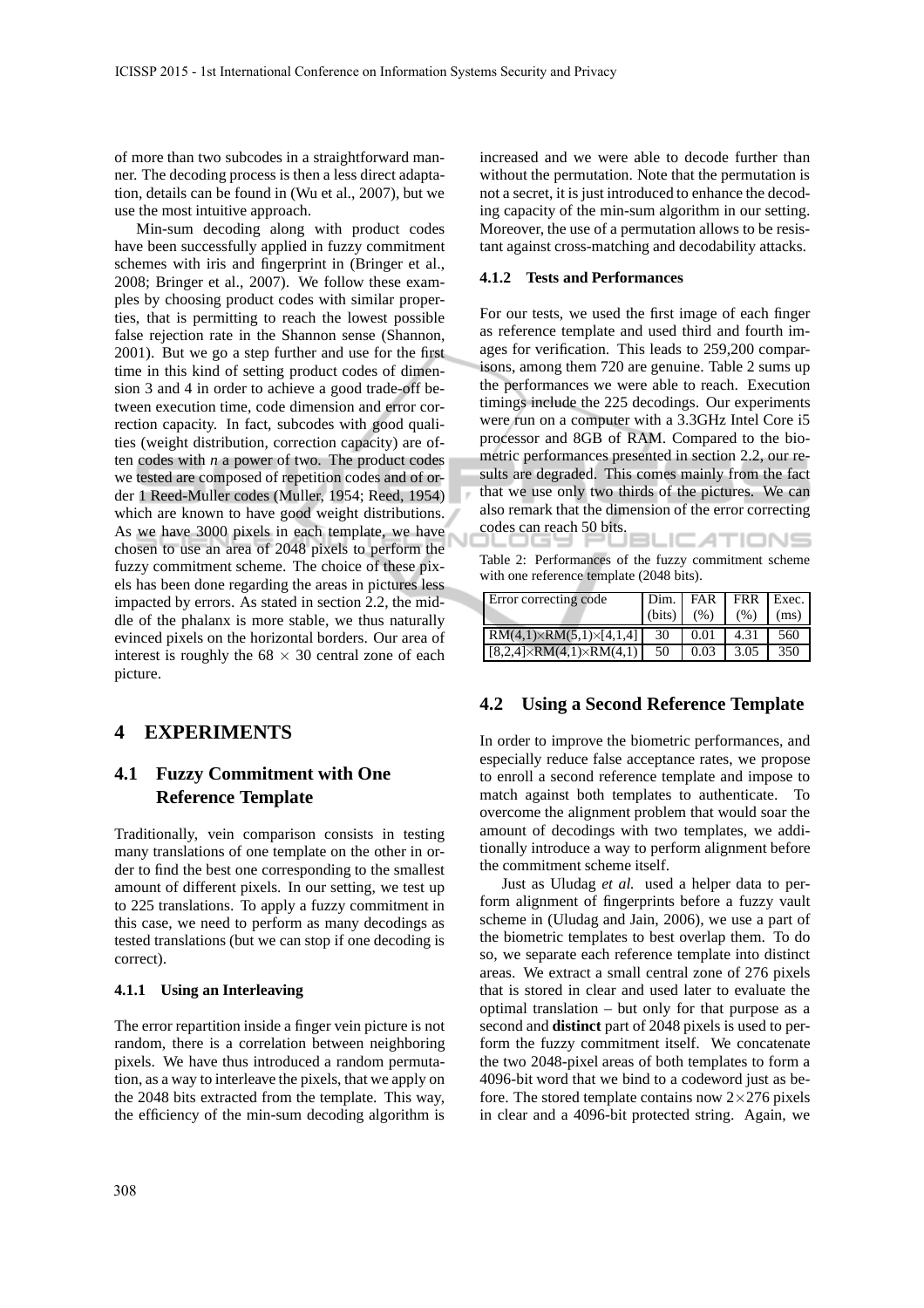of more than two subcodes in a straightforward manner. The decoding process is then a less direct adaptation, details can be found in (Wu et al., 2007), but we use the most intuitive approach.

Min-sum decoding along with product codes have been successfully applied in fuzzy commitment schemes with iris and fingerprint in (Bringer et al., 2008; Bringer et al., 2007). We follow these examples by choosing product codes with similar properties, that is permitting to reach the lowest possible false rejection rate in the Shannon sense (Shannon, 2001). But we go a step further and use for the first time in this kind of setting product codes of dimension 3 and 4 in order to achieve a good trade-off between execution time, code dimension and error correction capacity. In fact, subcodes with good qualities (weight distribution, correction capacity) are often codes with *n* a power of two. The product codes we tested are composed of repetition codes and of order 1 Reed-Muller codes (Muller, 1954; Reed, 1954) which are known to have good weight distributions. As we have 3000 pixels in each template, we have chosen to use an area of 2048 pixels to perform the fuzzy commitment scheme. The choice of these pixels has been done regarding the areas in pictures less impacted by errors. As stated in section 2.2, the middle of the phalanx is more stable, we thus naturally evinced pixels on the horizontal borders. Our area of interest is roughly the  $68 \times 30$  central zone of each picture.

## **4 EXPERIMENTS**

## **4.1 Fuzzy Commitment with One Reference Template**

Traditionally, vein comparison consists in testing many translations of one template on the other in order to find the best one corresponding to the smallest amount of different pixels. In our setting, we test up to 225 translations. To apply a fuzzy commitment in this case, we need to perform as many decodings as tested translations (but we can stop if one decoding is correct).

#### **4.1.1 Using an Interleaving**

The error repartition inside a finger vein picture is not random, there is a correlation between neighboring pixels. We have thus introduced a random permutation, as a way to interleave the pixels, that we apply on the 2048 bits extracted from the template. This way, the efficiency of the min-sum decoding algorithm is increased and we were able to decode further than without the permutation. Note that the permutation is not a secret, it is just introduced to enhance the decoding capacity of the min-sum algorithm in our setting. Moreover, the use of a permutation allows to be resistant against cross-matching and decodability attacks.

#### **4.1.2 Tests and Performances**

For our tests, we used the first image of each finger as reference template and used third and fourth images for verification. This leads to 259,200 comparisons, among them 720 are genuine. Table 2 sums up the performances we were able to reach. Execution timings include the 225 decodings. Our experiments were run on a computer with a 3.3GHz Intel Core i5 processor and 8GB of RAM. Compared to the biometric performances presented in section 2.2, our results are degraded. This comes mainly from the fact that we use only two thirds of the pictures. We can also remark that the dimension of the error correcting codes can reach 50 bits. **BLICATIONS** 

Table 2: Performances of the fuzzy commitment scheme with one reference template (2048 bits).

| Error correcting code                   | Dim.   | FAR  | FRR Exec. |      |
|-----------------------------------------|--------|------|-----------|------|
|                                         | (bits) | (% ) | (% )      | (ms) |
| $RM(4,1)\times RM(5,1)\times [4,1,4]$   | 30     | 0.01 | 4.31      | 560  |
| $[8,2,4] \times RM(4,1) \times RM(4,1)$ | 50     | 0.03 | 3.05      | 350  |

#### **4.2 Using a Second Reference Template**

In order to improve the biometric performances, and especially reduce false acceptance rates, we propose to enroll a second reference template and impose to match against both templates to authenticate. To overcome the alignment problem that would soar the amount of decodings with two templates, we additionally introduce a way to perform alignment before the commitment scheme itself.

Just as Uludag *et al.* used a helper data to perform alignment of fingerprints before a fuzzy vault scheme in (Uludag and Jain, 2006), we use a part of the biometric templates to best overlap them. To do so, we separate each reference template into distinct areas. We extract a small central zone of 276 pixels that is stored in clear and used later to evaluate the optimal translation – but only for that purpose as a second and **distinct** part of 2048 pixels is used to perform the fuzzy commitment itself. We concatenate the two 2048-pixel areas of both templates to form a 4096-bit word that we bind to a codeword just as before. The stored template contains now  $2\times276$  pixels in clear and a 4096-bit protected string. Again, we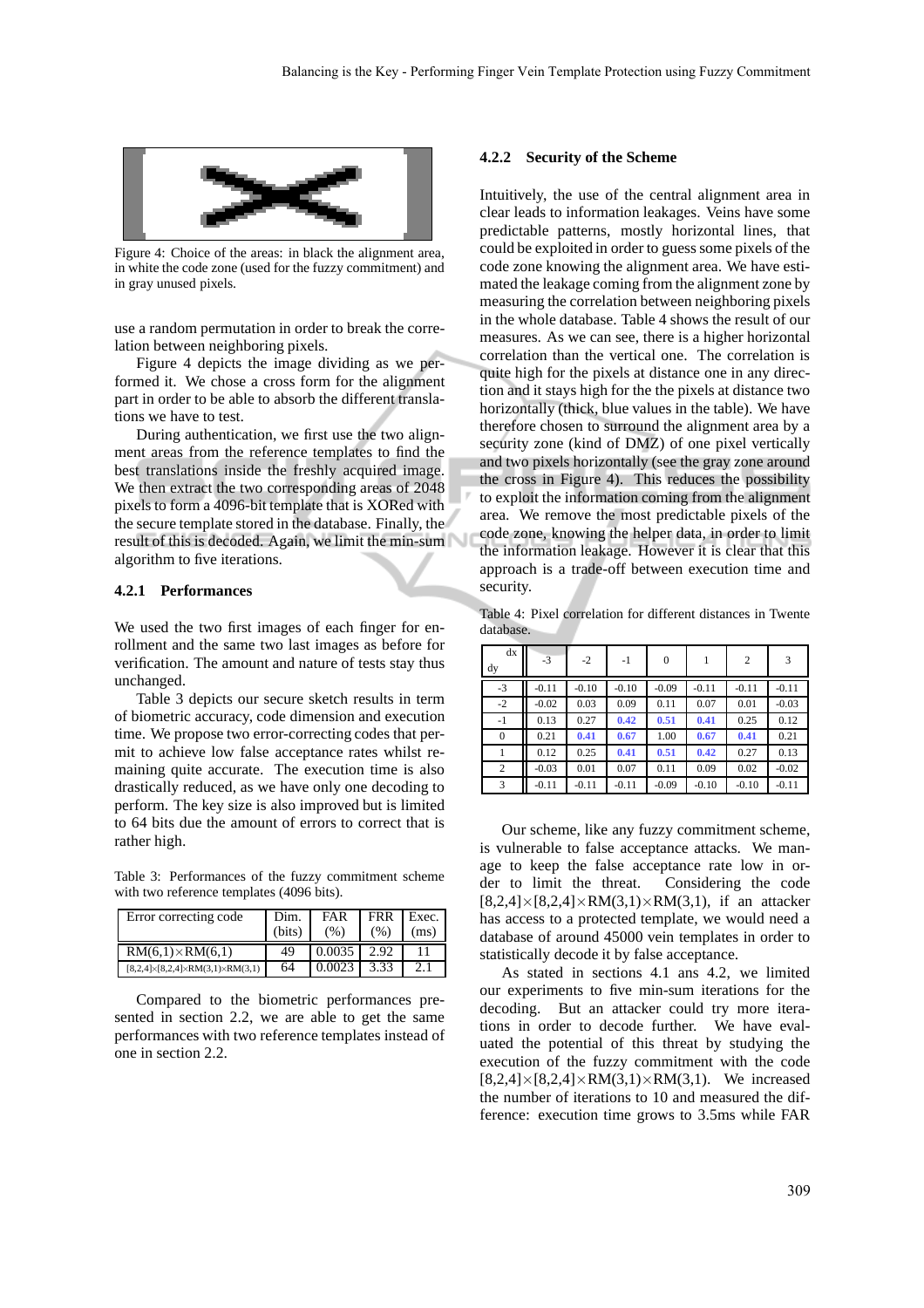

Figure 4: Choice of the areas: in black the alignment area, in white the code zone (used for the fuzzy commitment) and in gray unused pixels.

use a random permutation in order to break the correlation between neighboring pixels.

Figure 4 depicts the image dividing as we performed it. We chose a cross form for the alignment part in order to be able to absorb the different translations we have to test.

During authentication, we first use the two alignment areas from the reference templates to find the best translations inside the freshly acquired image. We then extract the two corresponding areas of 2048 pixels to form a 4096-bit template that is XORed with the secure template stored in the database. Finally, the result of this is decoded. Again, we limit the min-sum algorithm to five iterations.

#### **4.2.1 Performances**

We used the two first images of each finger for enrollment and the same two last images as before for verification. The amount and nature of tests stay thus unchanged.

Table 3 depicts our secure sketch results in term of biometric accuracy, code dimension and execution time. We propose two error-correcting codes that permit to achieve low false acceptance rates whilst remaining quite accurate. The execution time is also drastically reduced, as we have only one decoding to perform. The key size is also improved but is limited to 64 bits due the amount of errors to correct that is rather high.

Table 3: Performances of the fuzzy commitment scheme with two reference templates (4096 bits).

| Error correcting code                                  | Dim.<br>(bits) | FAR<br>(% ) | <b>FRR</b><br>(% ) | Exec.<br>(ms) |
|--------------------------------------------------------|----------------|-------------|--------------------|---------------|
| $RM(6,1)\times RM(6,1)$                                | 49             | 0.0035      | 2.92               |               |
| $[8,2,4] \times [8,2,4] \times RM(3,1) \times RM(3,1)$ | 64             | 0.0023      | 3.33               | 2.1           |

Compared to the biometric performances presented in section 2.2, we are able to get the same performances with two reference templates instead of one in section 2.2.

#### **4.2.2 Security of the Scheme**

Intuitively, the use of the central alignment area in clear leads to information leakages. Veins have some predictable patterns, mostly horizontal lines, that could be exploited in order to guess some pixels of the code zone knowing the alignment area. We have estimated the leakage coming from the alignment zone by measuring the correlation between neighboring pixels in the whole database. Table 4 shows the result of our measures. As we can see, there is a higher horizontal correlation than the vertical one. The correlation is quite high for the pixels at distance one in any direction and it stays high for the the pixels at distance two horizontally (thick, blue values in the table). We have therefore chosen to surround the alignment area by a security zone (kind of DMZ) of one pixel vertically and two pixels horizontally (see the gray zone around the cross in Figure 4). This reduces the possibility to exploit the information coming from the alignment area. We remove the most predictable pixels of the code zone, knowing the helper data, in order to limit the information leakage. However it is clear that this approach is a trade-off between execution time and security.

Table 4: Pixel correlation for different distances in Twente database.

| dx<br>dy       | $-3$    | $-2$    | $-1$    | $\theta$ |         | 2       | 3       |
|----------------|---------|---------|---------|----------|---------|---------|---------|
| $-3$           | $-0.11$ | $-0.10$ | $-0.10$ | $-0.09$  | $-0.11$ | $-0.11$ | $-0.11$ |
| $-2$           | $-0.02$ | 0.03    | 0.09    | 0.11     | 0.07    | 0.01    | $-0.03$ |
| $-1$           | 0.13    | 0.27    | 0.42    | 0.51     | 0.41    | 0.25    | 0.12    |
| $\overline{0}$ | 0.21    | 0.41    | 0.67    | 1.00     | 0.67    | 0.41    | 0.21    |
|                | 0.12    | 0.25    | 0.41    | 0.51     | 0.42    | 0.27    | 0.13    |
| 2              | $-0.03$ | 0.01    | 0.07    | 0.11     | 0.09    | 0.02    | $-0.02$ |
| 3              | $-0.11$ | $-0.11$ | $-0.11$ | $-0.09$  | $-0.10$ | $-0.10$ | $-0.11$ |

Our scheme, like any fuzzy commitment scheme, is vulnerable to false acceptance attacks. We manage to keep the false acceptance rate low in order to limit the threat. Considering the code  $[8,2,4] \times [8,2,4] \times RM(3,1) \times RM(3,1)$ , if an attacker has access to a protected template, we would need a database of around 45000 vein templates in order to statistically decode it by false acceptance.

As stated in sections 4.1 ans 4.2, we limited our experiments to five min-sum iterations for the decoding. But an attacker could try more iterations in order to decode further. We have evaluated the potential of this threat by studying the execution of the fuzzy commitment with the code  $[8,2,4] \times [8,2,4] \times RM(3,1) \times RM(3,1)$ . We increased the number of iterations to 10 and measured the difference: execution time grows to 3.5ms while FAR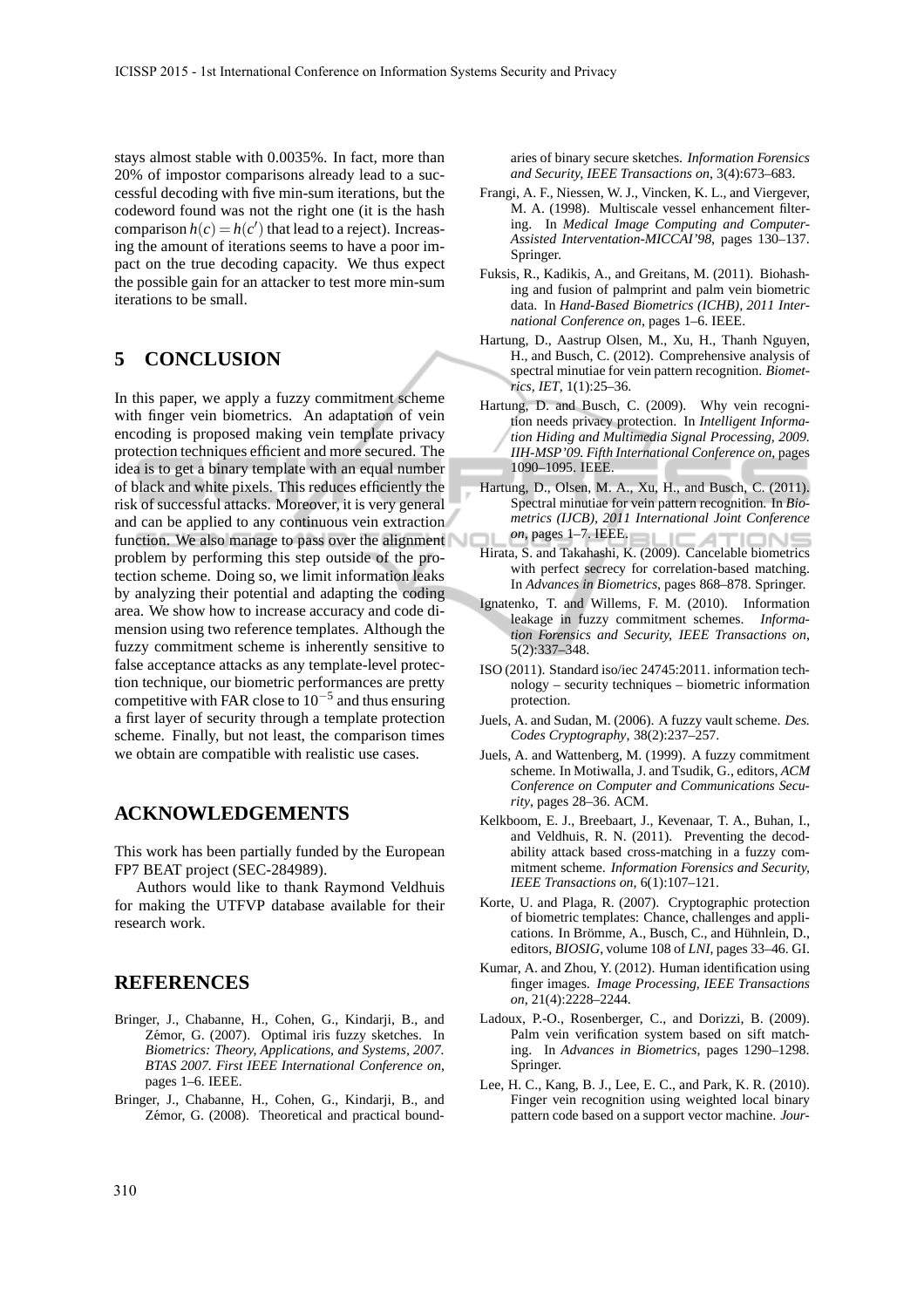stays almost stable with 0.0035%. In fact, more than 20% of impostor comparisons already lead to a successful decoding with five min-sum iterations, but the codeword found was not the right one (it is the hash comparison  $h(c) = h(c')$  that lead to a reject). Increasing the amount of iterations seems to have a poor impact on the true decoding capacity. We thus expect the possible gain for an attacker to test more min-sum iterations to be small.

## **5 CONCLUSION**

In this paper, we apply a fuzzy commitment scheme with finger vein biometrics. An adaptation of vein encoding is proposed making vein template privacy protection techniques efficient and more secured. The idea is to get a binary template with an equal number of black and white pixels. This reduces efficiently the risk of successful attacks. Moreover, it is very general and can be applied to any continuous vein extraction function. We also manage to pass over the alignment problem by performing this step outside of the protection scheme. Doing so, we limit information leaks by analyzing their potential and adapting the coding area. We show how to increase accuracy and code dimension using two reference templates. Although the fuzzy commitment scheme is inherently sensitive to false acceptance attacks as any template-level protection technique, our biometric performances are pretty competitive with FAR close to  $10^{-5}$  and thus ensuring a first layer of security through a template protection scheme. Finally, but not least, the comparison times we obtain are compatible with realistic use cases.

## **ACKNOWLEDGEMENTS**

This work has been partially funded by the European FP7 BEAT project (SEC-284989).

Authors would like to thank Raymond Veldhuis for making the UTFVP database available for their research work.

## **REFERENCES**

- Bringer, J., Chabanne, H., Cohen, G., Kindarji, B., and Zémor, G. (2007). Optimal iris fuzzy sketches. In *Biometrics: Theory, Applications, and Systems, 2007. BTAS 2007. First IEEE International Conference on*, pages 1–6. IEEE.
- Bringer, J., Chabanne, H., Cohen, G., Kindarji, B., and Zémor, G. (2008). Theoretical and practical bound-

aries of binary secure sketches. *Information Forensics and Security, IEEE Transactions on*, 3(4):673–683.

- Frangi, A. F., Niessen, W. J., Vincken, K. L., and Viergever, M. A. (1998). Multiscale vessel enhancement filtering. In *Medical Image Computing and Computer-Assisted Interventation-MICCAI'98*, pages 130–137. Springer.
- Fuksis, R., Kadikis, A., and Greitans, M. (2011). Biohashing and fusion of palmprint and palm vein biometric data. In *Hand-Based Biometrics (ICHB), 2011 International Conference on*, pages 1–6. IEEE.
- Hartung, D., Aastrup Olsen, M., Xu, H., Thanh Nguyen, H., and Busch, C. (2012). Comprehensive analysis of spectral minutiae for vein pattern recognition. *Biometrics, IET*, 1(1):25–36.
- Hartung, D. and Busch, C. (2009). Why vein recognition needs privacy protection. In *Intelligent Information Hiding and Multimedia Signal Processing, 2009. IIH-MSP'09. Fifth International Conference on*, pages 1090–1095. IEEE.
- Hartung, D., Olsen, M. A., Xu, H., and Busch, C. (2011). Spectral minutiae for vein pattern recognition. In *Biometrics (IJCB), 2011 International Joint Conference on*, pages 1–7. IEEE. A **INS**
- Hirata, S. and Takahashi, K. (2009). Cancelable biometrics with perfect secrecy for correlation-based matching. In *Advances in Biometrics*, pages 868–878. Springer.
- Ignatenko, T. and Willems, F. M. (2010). Information leakage in fuzzy commitment schemes. *Information Forensics and Security, IEEE Transactions on*, 5(2):337–348.
- ISO (2011). Standard iso/iec 24745:2011. information technology – security techniques – biometric information protection.
- Juels, A. and Sudan, M. (2006). A fuzzy vault scheme. *Des. Codes Cryptography*, 38(2):237–257.
- Juels, A. and Wattenberg, M. (1999). A fuzzy commitment scheme. In Motiwalla, J. and Tsudik, G., editors, *ACM Conference on Computer and Communications Security*, pages 28–36. ACM.
- Kelkboom, E. J., Breebaart, J., Kevenaar, T. A., Buhan, I., and Veldhuis, R. N. (2011). Preventing the decodability attack based cross-matching in a fuzzy commitment scheme. *Information Forensics and Security, IEEE Transactions on*, 6(1):107–121.
- Korte, U. and Plaga, R. (2007). Cryptographic protection of biometric templates: Chance, challenges and applications. In Brömme, A., Busch, C., and Hühnlein, D., editors, *BIOSIG*, volume 108 of *LNI*, pages 33–46. GI.
- Kumar, A. and Zhou, Y. (2012). Human identification using finger images. *Image Processing, IEEE Transactions on*, 21(4):2228–2244.
- Ladoux, P.-O., Rosenberger, C., and Dorizzi, B. (2009). Palm vein verification system based on sift matching. In *Advances in Biometrics*, pages 1290–1298. Springer.
- Lee, H. C., Kang, B. J., Lee, E. C., and Park, K. R. (2010). Finger vein recognition using weighted local binary pattern code based on a support vector machine. *Jour-*